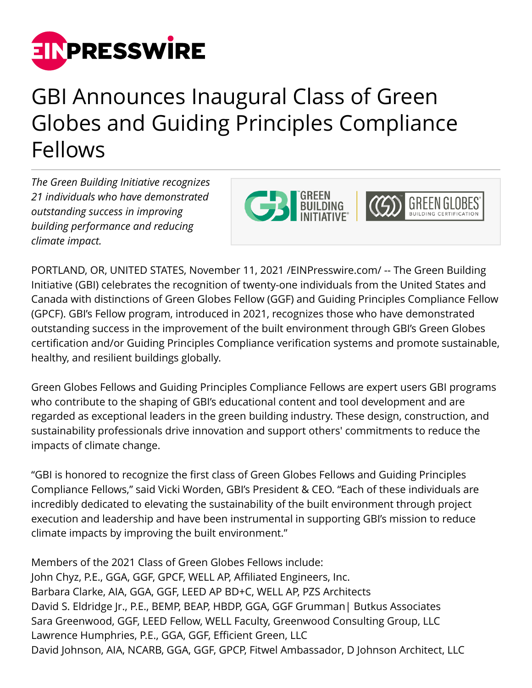

## GBI Announces Inaugural Class of Green Globes and Guiding Principles Compliance Fellows

*The Green Building Initiative recognizes 21 individuals who have demonstrated outstanding success in improving building performance and reducing climate impact.*



PORTLAND, OR, UNITED STATES, November 11, 2021 /[EINPresswire.com/](http://www.einpresswire.com) -- The Green Building Initiative (GBI) celebrates the recognition of twenty-one individuals from the United States and Canada with distinctions of Green Globes Fellow (GGF) and Guiding Principles Compliance Fellow (GPCF). GBI's Fellow program, introduced in 2021, recognizes those who have demonstrated outstanding success in the improvement of the built environment through GBI's Green Globes certification and/or Guiding Principles Compliance verification systems and promote sustainable, healthy, and resilient buildings globally.

Green Globes Fellows and Guiding Principles Compliance Fellows are expert users GBI programs who contribute to the shaping of GBI's educational content and tool development and are regarded as exceptional leaders in the green building industry. These design, construction, and sustainability professionals drive innovation and support others' commitments to reduce the impacts of climate change.

"GBI is honored to recognize the first class of Green Globes Fellows and Guiding Principles Compliance Fellows," said Vicki Worden, GBI's President & CEO. "Each of these individuals are incredibly dedicated to elevating the sustainability of the built environment through project execution and leadership and have been instrumental in supporting GBI's mission to reduce climate impacts by improving the built environment."

Members of the 2021 Class of Green Globes Fellows include: John Chyz, P.E., GGA, GGF, GPCF, WELL AP, Affiliated Engineers, Inc. Barbara Clarke, AIA, GGA, GGF, LEED AP BD+C, WELL AP, PZS Architects David S. Eldridge Jr., P.E., BEMP, BEAP, HBDP, GGA, GGF Grumman| Butkus Associates Sara Greenwood, GGF, LEED Fellow, WELL Faculty, Greenwood Consulting Group, LLC Lawrence Humphries, P.E., GGA, GGF, Efficient Green, LLC David Johnson, AIA, NCARB, GGA, GGF, GPCP, Fitwel Ambassador, D Johnson Architect, LLC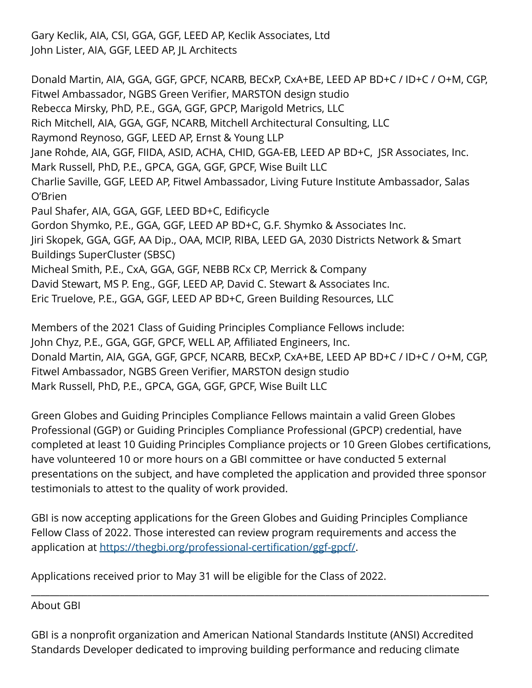Gary Keclik, AIA, CSI, GGA, GGF, LEED AP, Keclik Associates, Ltd John Lister, AIA, GGF, LEED AP, JL Architects

Donald Martin, AIA, GGA, GGF, GPCF, NCARB, BECxP, CxA+BE, LEED AP BD+C / ID+C / O+M, CGP, Fitwel Ambassador, NGBS Green Verifier, MARSTON design studio Rebecca Mirsky, PhD, P.E., GGA, GGF, GPCP, Marigold Metrics, LLC Rich Mitchell, AIA, GGA, GGF, NCARB, Mitchell Architectural Consulting, LLC Raymond Reynoso, GGF, LEED AP, Ernst & Young LLP Jane Rohde, AIA, GGF, FIIDA, ASID, ACHA, CHID, GGA-EB, LEED AP BD+C, JSR Associates, Inc. Mark Russell, PhD, P.E., GPCA, GGA, GGF, GPCF, Wise Built LLC Charlie Saville, GGF, LEED AP, Fitwel Ambassador, Living Future Institute Ambassador, Salas O'Brien Paul Shafer, AIA, GGA, GGF, LEED BD+C, Edificycle Gordon Shymko, P.E., GGA, GGF, LEED AP BD+C, G.F. Shymko & Associates Inc. Jiri Skopek, GGA, GGF, AA Dip., OAA, MCIP, RIBA, LEED GA, 2030 Districts Network & Smart Buildings SuperCluster (SBSC) Micheal Smith, P.E., CxA, GGA, GGF, NEBB RCx CP, Merrick & Company David Stewart, MS P. Eng., GGF, LEED AP, David C. Stewart & Associates Inc. Eric Truelove, P.E., GGA, GGF, LEED AP BD+C, Green Building Resources, LLC

Members of the 2021 Class of Guiding Principles Compliance Fellows include: John Chyz, P.E., GGA, GGF, GPCF, WELL AP, Affiliated Engineers, Inc. Donald Martin, AIA, GGA, GGF, GPCF, NCARB, BECxP, CxA+BE, LEED AP BD+C / ID+C / O+M, CGP, Fitwel Ambassador, NGBS Green Verifier, MARSTON design studio Mark Russell, PhD, P.E., GPCA, GGA, GGF, GPCF, Wise Built LLC

Green Globes and Guiding Principles Compliance Fellows maintain a valid Green Globes Professional (GGP) or Guiding Principles Compliance Professional (GPCP) credential, have completed at least 10 Guiding Principles Compliance projects or 10 Green Globes certifications, have volunteered 10 or more hours on a GBI committee or have conducted 5 external presentations on the subject, and have completed the application and provided three sponsor testimonials to attest to the quality of work provided.

GBI is now accepting applications for the Green Globes and Guiding Principles Compliance Fellow Class of 2022. Those interested can review program requirements and access the application at <https://thegbi.org/professional-certification/ggf-gpcf/>.

Applications received prior to May 31 will be eligible for the Class of 2022.

About GBI

GBI is a nonprofit organization and American National Standards Institute (ANSI) Accredited Standards Developer dedicated to improving building performance and reducing climate

\_\_\_\_\_\_\_\_\_\_\_\_\_\_\_\_\_\_\_\_\_\_\_\_\_\_\_\_\_\_\_\_\_\_\_\_\_\_\_\_\_\_\_\_\_\_\_\_\_\_\_\_\_\_\_\_\_\_\_\_\_\_\_\_\_\_\_\_\_\_\_\_\_\_\_\_\_\_\_\_\_\_\_\_\_\_\_\_\_\_\_\_\_\_\_\_\_\_